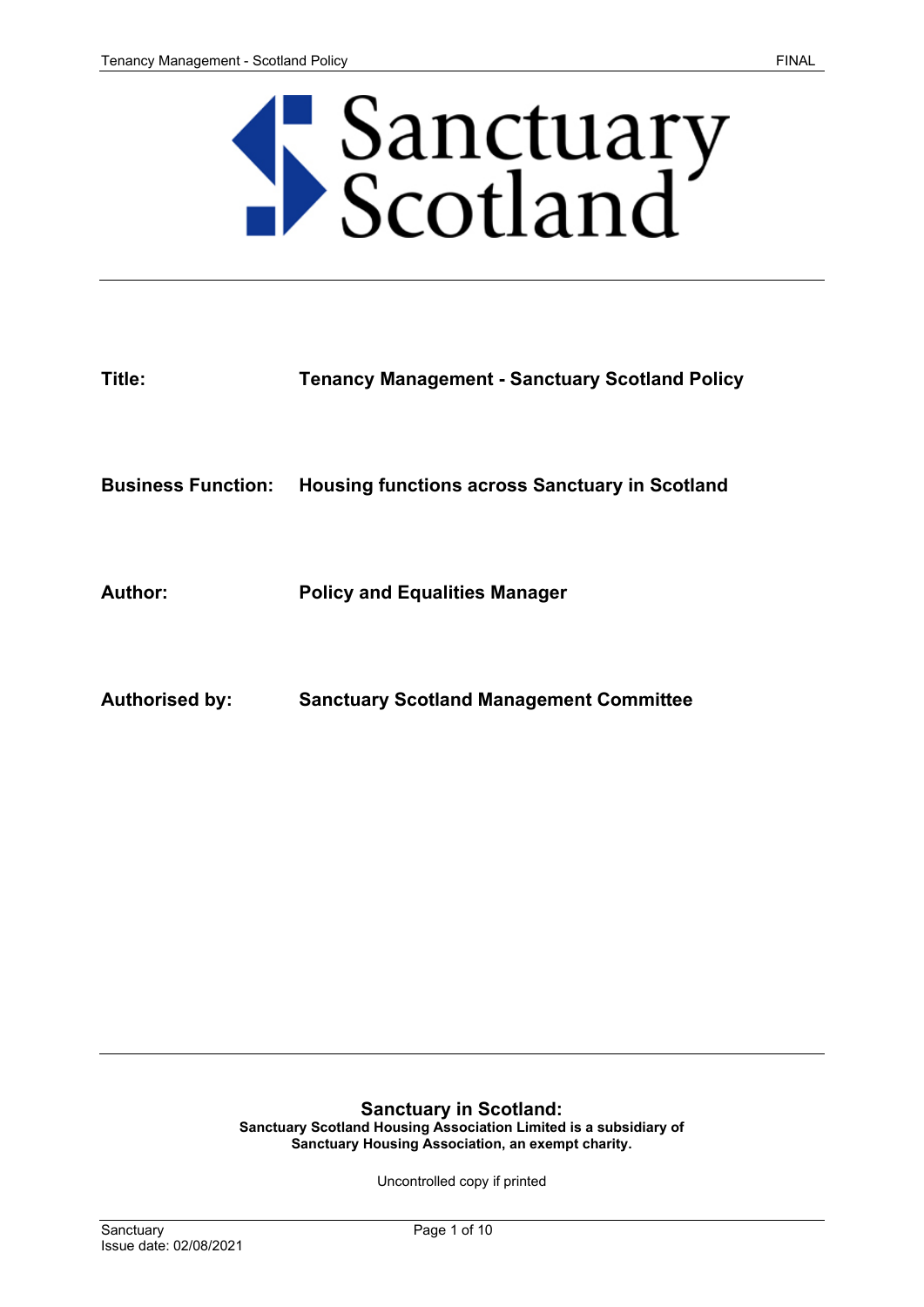# Sanctuary<br>Scotland

| Title:                    | <b>Tenancy Management - Sanctuary Scotland Policy</b> |
|---------------------------|-------------------------------------------------------|
|                           |                                                       |
| <b>Business Function:</b> | <b>Housing functions across Sanctuary in Scotland</b> |
|                           |                                                       |
| Author:                   | <b>Policy and Equalities Manager</b>                  |
|                           |                                                       |
| <b>Authorised by:</b>     | <b>Sanctuary Scotland Management Committee</b>        |

## **Sanctuary in Scotland:**

**Sanctuary Scotland Housing Association Limited is a subsidiary of Sanctuary Housing Association, an exempt charity.**

Uncontrolled copy if printed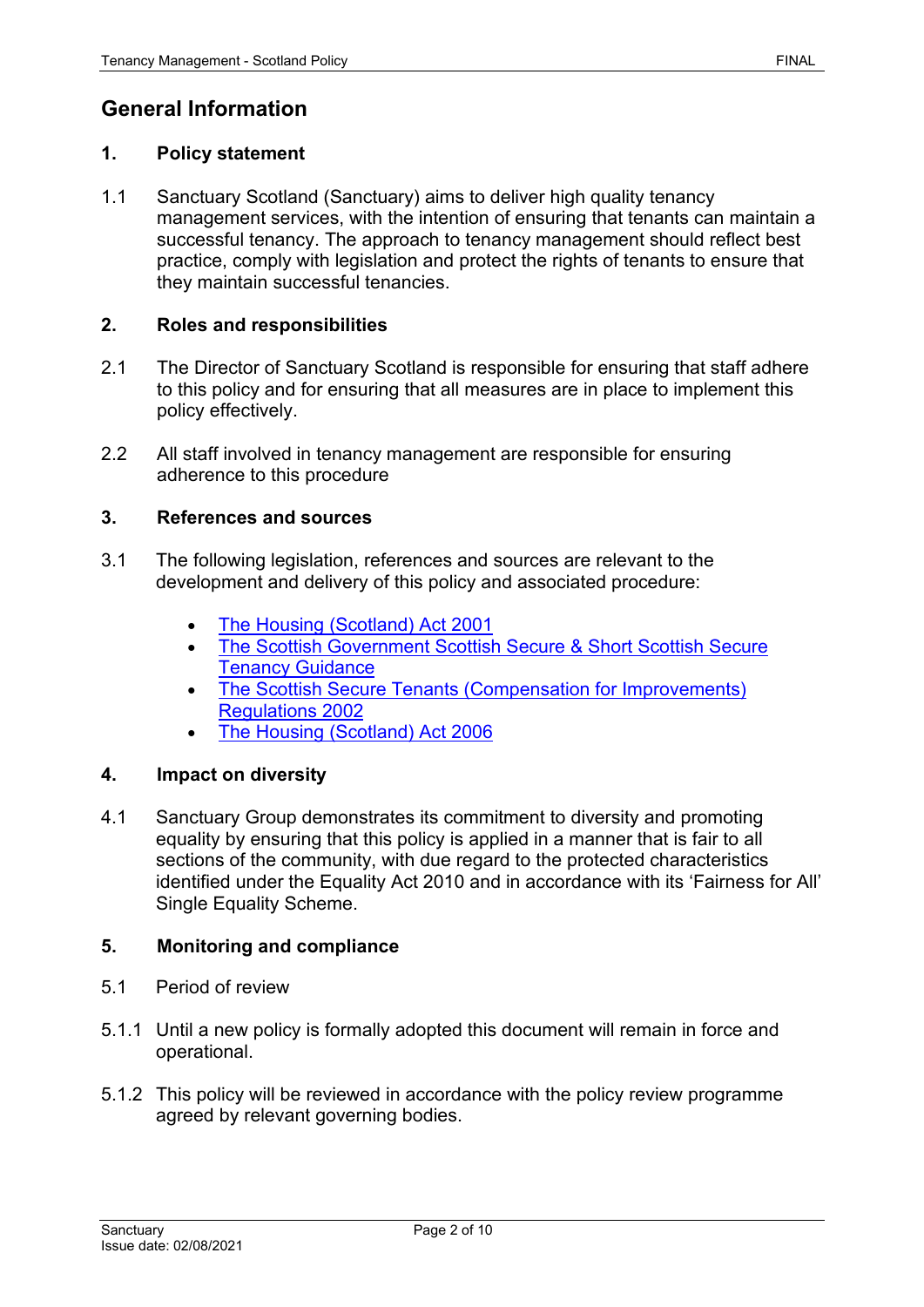# **General Information**

#### **1. Policy statement**

1.1 Sanctuary Scotland (Sanctuary) aims to deliver high quality tenancy management services, with the intention of ensuring that tenants can maintain a successful tenancy. The approach to tenancy management should reflect best practice, comply with legislation and protect the rights of tenants to ensure that they maintain successful tenancies.

#### **2. Roles and responsibilities**

- 2.1 The Director of Sanctuary Scotland is responsible for ensuring that staff adhere to this policy and for ensuring that all measures are in place to implement this policy effectively.
- 2.2 All staff involved in tenancy management are responsible for ensuring adherence to this procedure

#### **3. References and sources**

- 3.1 The following legislation, references and sources are relevant to the development and delivery of this policy and associated procedure:
	- [The Housing \(Scotland\) Act 2001](https://www.legislation.gov.uk/asp/2001/10/contents)
	- [The Scottish Government Scottish Secure & Short Scottish Secure](https://www2.gov.scot/Publications/2002/08/sst/3)  [Tenancy Guidance](https://www2.gov.scot/Publications/2002/08/sst/3)
	- [The Scottish Secure Tenants \(Compensation for Improvements\)](http://www.legislation.gov.uk/ssi/2002/312/contents/made)  [Regulations 2002](http://www.legislation.gov.uk/ssi/2002/312/contents/made)
	- [The Housing \(Scotland\) Act 2006](https://www.legislation.gov.uk/asp/2006/1/contents)

#### **4. Impact on diversity**

4.1 Sanctuary Group demonstrates its commitment to diversity and promoting equality by ensuring that this policy is applied in a manner that is fair to all sections of the community, with due regard to the protected characteristics identified under the Equality Act 2010 and in accordance with its 'Fairness for All' Single Equality Scheme.

#### **5. Monitoring and compliance**

- 5.1 Period of review
- 5.1.1 Until a new policy is formally adopted this document will remain in force and operational.
- 5.1.2 This policy will be reviewed in accordance with the policy review programme agreed by relevant governing bodies.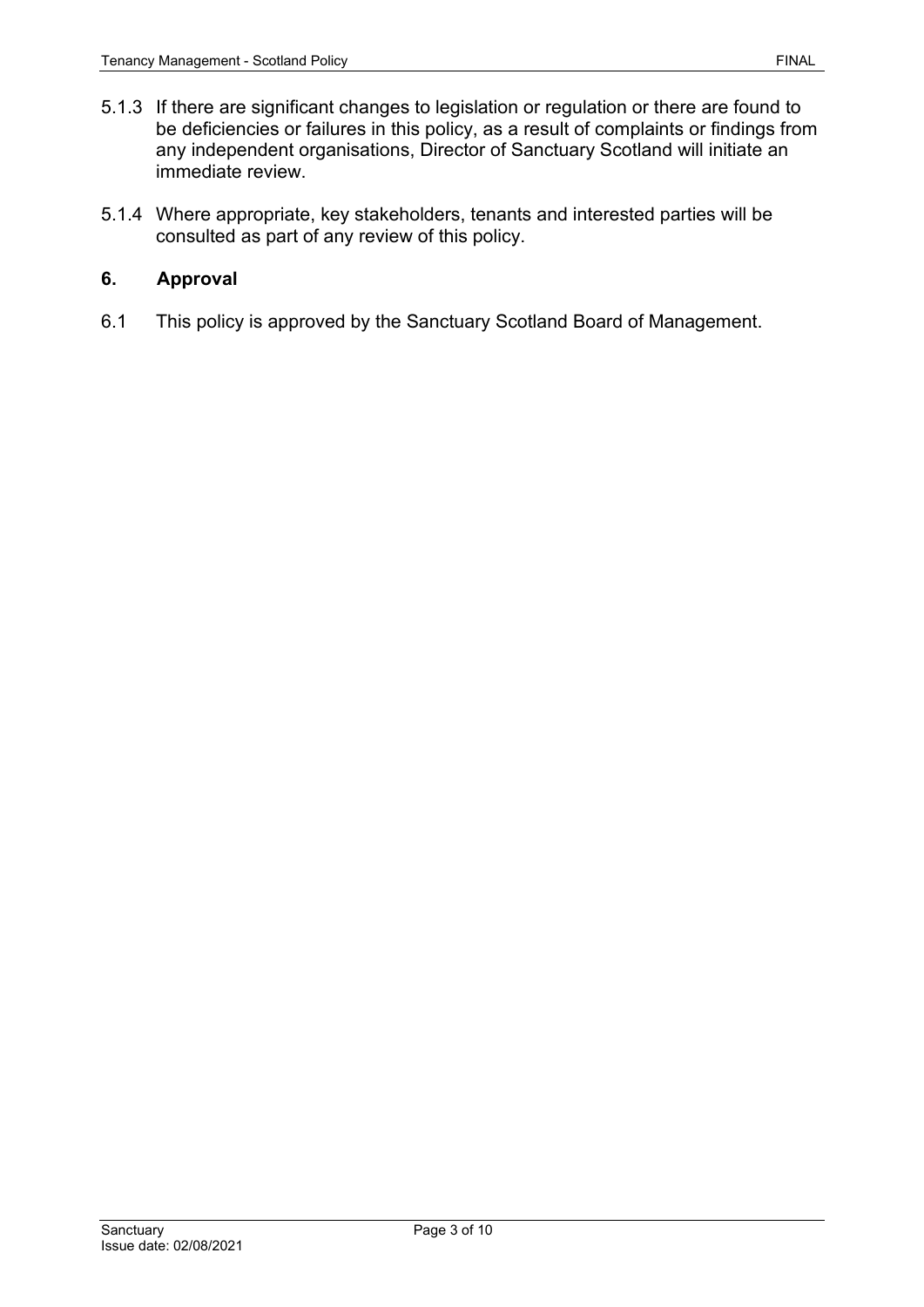- 5.1.3 If there are significant changes to legislation or regulation or there are found to be deficiencies or failures in this policy, as a result of complaints or findings from any independent organisations, Director of Sanctuary Scotland will initiate an immediate review.
- 5.1.4 Where appropriate, key stakeholders, tenants and interested parties will be consulted as part of any review of this policy.

#### **6. Approval**

6.1 This policy is approved by the Sanctuary Scotland Board of Management.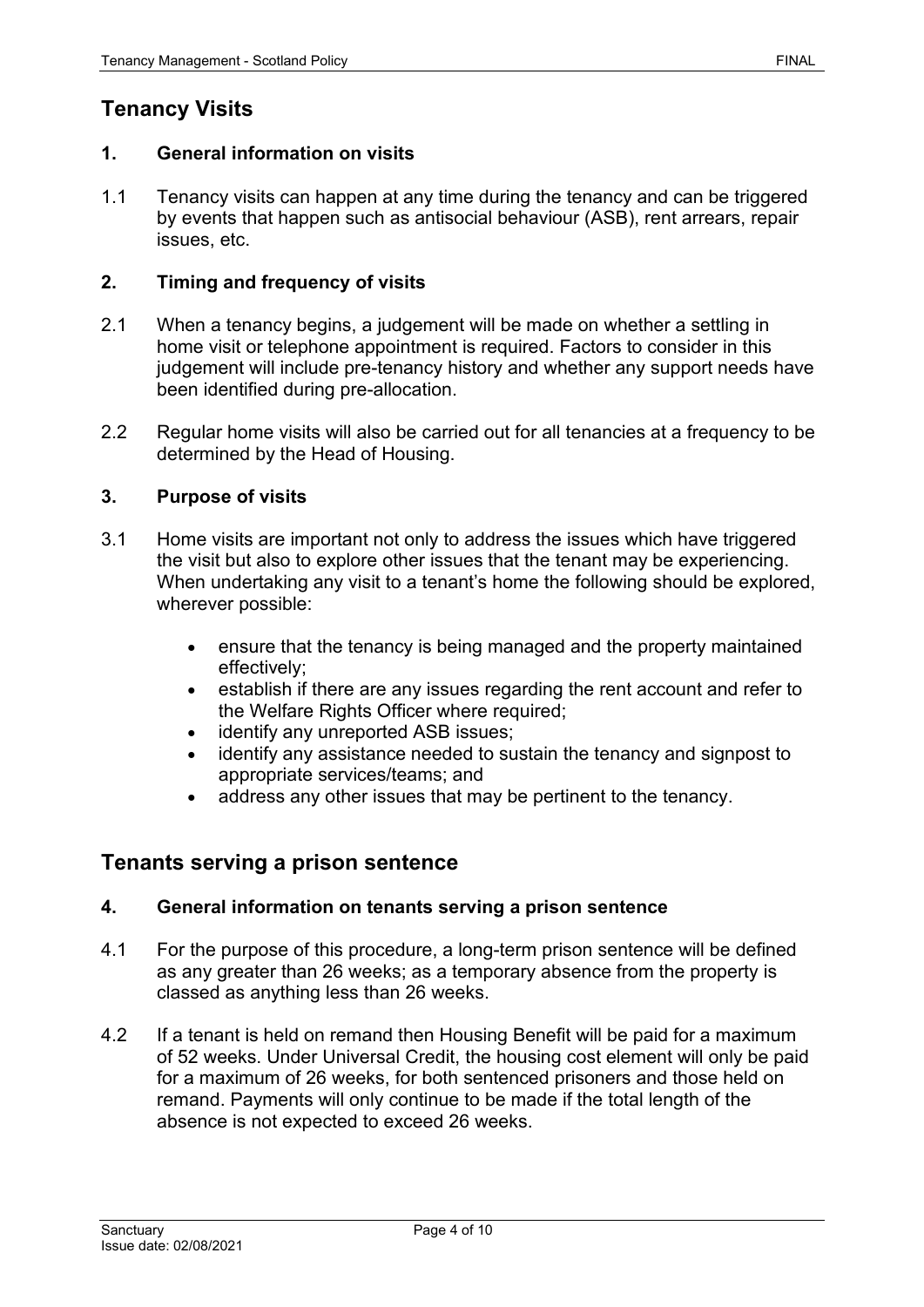# **1. General information on visits**

1.1 Tenancy visits can happen at any time during the tenancy and can be triggered by events that happen such as antisocial behaviour (ASB), rent arrears, repair issues, etc.

#### **2. Timing and frequency of visits**

- 2.1 When a tenancy begins, a judgement will be made on whether a settling in home visit or telephone appointment is required. Factors to consider in this judgement will include pre-tenancy history and whether any support needs have been identified during pre-allocation.
- 2.2 Regular home visits will also be carried out for all tenancies at a frequency to be determined by the Head of Housing.

#### **3. Purpose of visits**

- 3.1 Home visits are important not only to address the issues which have triggered the visit but also to explore other issues that the tenant may be experiencing. When undertaking any visit to a tenant's home the following should be explored, wherever possible:
	- ensure that the tenancy is being managed and the property maintained effectively;
	- establish if there are any issues regarding the rent account and refer to the Welfare Rights Officer where required;
	- identify any unreported ASB issues;
	- identify any assistance needed to sustain the tenancy and signpost to appropriate services/teams; and
	- address any other issues that may be pertinent to the tenancy.

### **Tenants serving a prison sentence**

#### **4. General information on tenants serving a prison sentence**

- 4.1 For the purpose of this procedure, a long-term prison sentence will be defined as any greater than 26 weeks; as a temporary absence from the property is classed as anything less than 26 weeks.
- 4.2 If a tenant is held on remand then Housing Benefit will be paid for a maximum of 52 weeks. Under Universal Credit, the housing cost element will only be paid for a maximum of 26 weeks, for both sentenced prisoners and those held on remand. Payments will only continue to be made if the total length of the absence is not expected to exceed 26 weeks.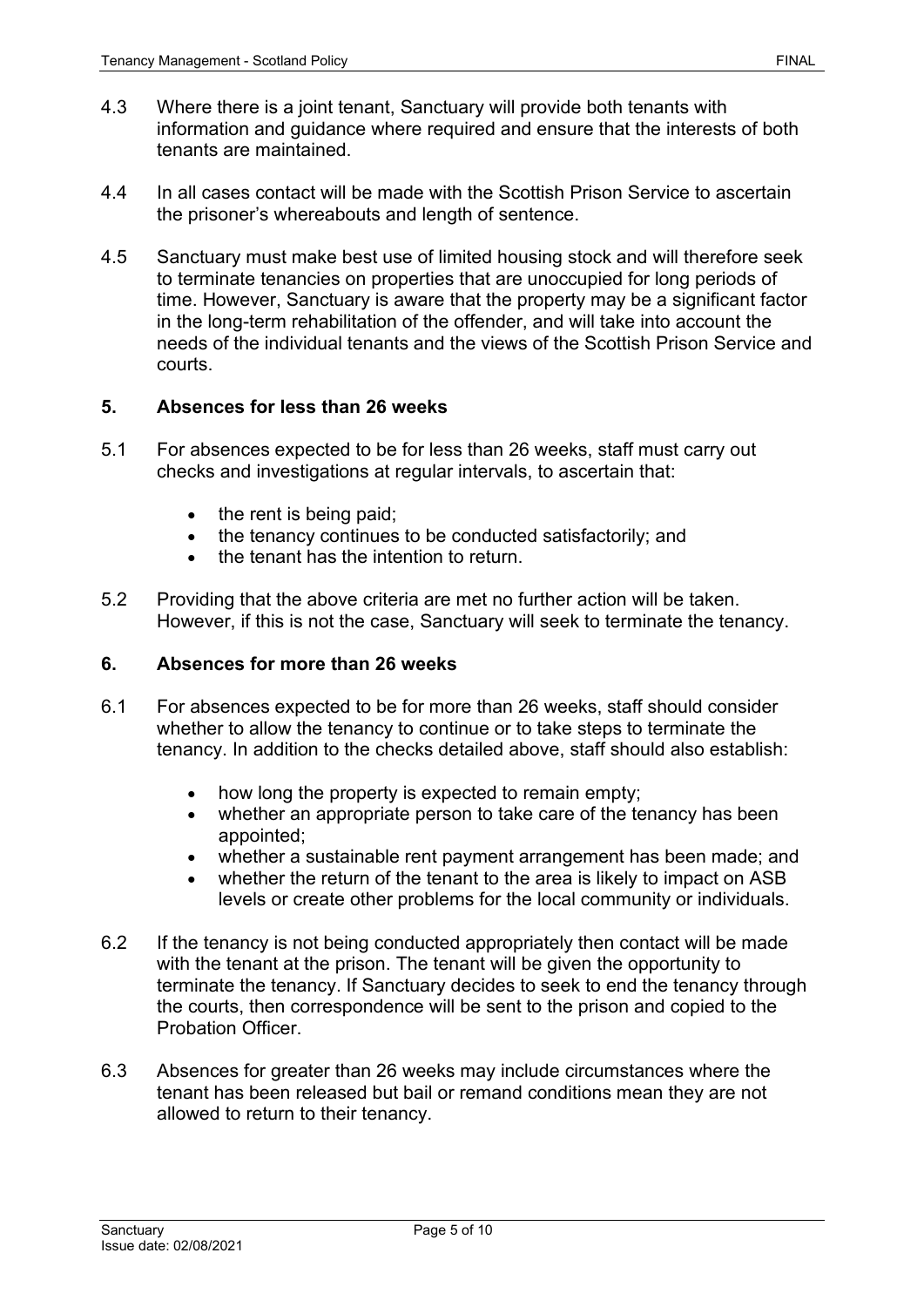- 4.3 Where there is a joint tenant, Sanctuary will provide both tenants with information and guidance where required and ensure that the interests of both tenants are maintained.
- 4.4 In all cases contact will be made with the Scottish Prison Service to ascertain the prisoner's whereabouts and length of sentence.
- 4.5 Sanctuary must make best use of limited housing stock and will therefore seek to terminate tenancies on properties that are unoccupied for long periods of time. However, Sanctuary is aware that the property may be a significant factor in the long-term rehabilitation of the offender, and will take into account the needs of the individual tenants and the views of the Scottish Prison Service and courts.

#### **5. Absences for less than 26 weeks**

- 5.1 For absences expected to be for less than 26 weeks, staff must carry out checks and investigations at regular intervals, to ascertain that:
	- the rent is being paid;
	- the tenancy continues to be conducted satisfactorily; and
	- the tenant has the intention to return.
- 5.2 Providing that the above criteria are met no further action will be taken. However, if this is not the case, Sanctuary will seek to terminate the tenancy.

#### **6. Absences for more than 26 weeks**

- 6.1 For absences expected to be for more than 26 weeks, staff should consider whether to allow the tenancy to continue or to take steps to terminate the tenancy. In addition to the checks detailed above, staff should also establish:
	- how long the property is expected to remain empty;
	- whether an appropriate person to take care of the tenancy has been appointed;
	- whether a sustainable rent payment arrangement has been made; and
	- whether the return of the tenant to the area is likely to impact on ASB levels or create other problems for the local community or individuals.
- 6.2 If the tenancy is not being conducted appropriately then contact will be made with the tenant at the prison. The tenant will be given the opportunity to terminate the tenancy. If Sanctuary decides to seek to end the tenancy through the courts, then correspondence will be sent to the prison and copied to the Probation Officer.
- 6.3 Absences for greater than 26 weeks may include circumstances where the tenant has been released but bail or remand conditions mean they are not allowed to return to their tenancy.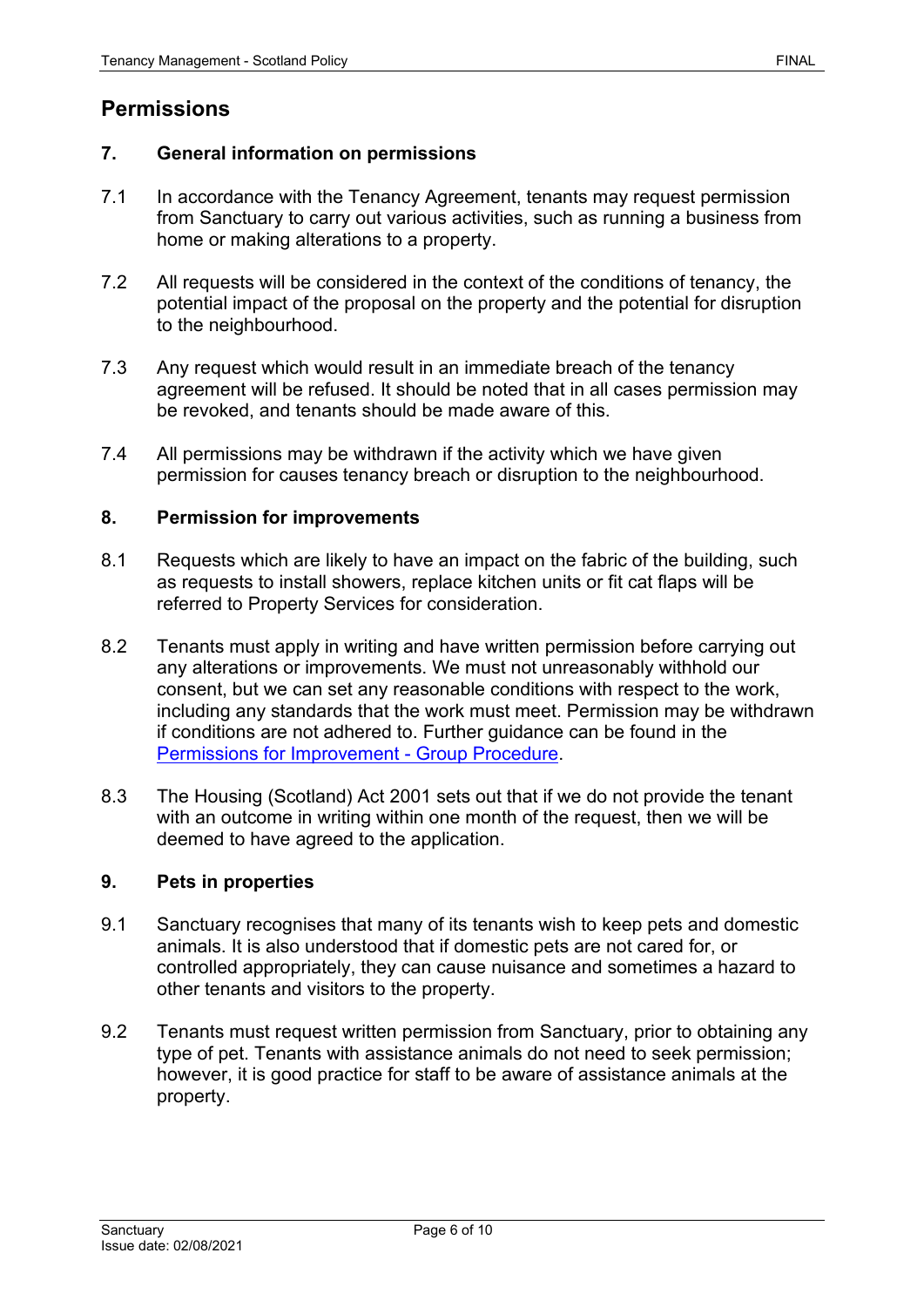# **Permissions**

#### **7. General information on permissions**

- 7.1 In accordance with the Tenancy Agreement, tenants may request permission from Sanctuary to carry out various activities, such as running a business from home or making alterations to a property.
- 7.2 All requests will be considered in the context of the conditions of tenancy, the potential impact of the proposal on the property and the potential for disruption to the neighbourhood.
- 7.3 Any request which would result in an immediate breach of the tenancy agreement will be refused. It should be noted that in all cases permission may be revoked, and tenants should be made aware of this.
- 7.4 All permissions may be withdrawn if the activity which we have given permission for causes tenancy breach or disruption to the neighbourhood.

#### **8. Permission for improvements**

- 8.1 Requests which are likely to have an impact on the fabric of the building, such as requests to install showers, replace kitchen units or fit cat flaps will be referred to Property Services for consideration.
- 8.2 Tenants must apply in writing and have written permission before carrying out any alterations or improvements. We must not unreasonably withhold our consent, but we can set any reasonable conditions with respect to the work, including any standards that the work must meet. Permission may be withdrawn if conditions are not adhered to. Further guidance can be found in the [Permissions for Improvement -](https://solis/PolicyManagement/policy/Policies/Forms/Policy%20Document%20Set/docsethomepage.aspx?ID=4146&FolderCTID=0x0120D52000DE99EA054D4DF944BE591D81E49729D0008C670BDB86BED740B0B89E295CD8357C&List=a03723e1-d48b-4958-9669-9b86a90ef8b0&RootFolder=%2FPolicyManagement%2Fpolicy%2FPolicies%2FPermission%20for%20Improvements%20%2D%20Group&RecSrc=%2FPolicyManagement%2Fpolicy%2FPolicies%2FPermission%20for%20Improvements%20%2D%20Group) Group Procedure.
- 8.3 The Housing (Scotland) Act 2001 sets out that if we do not provide the tenant with an outcome in writing within one month of the request, then we will be deemed to have agreed to the application.

#### **9. Pets in properties**

- 9.1 Sanctuary recognises that many of its tenants wish to keep pets and domestic animals. It is also understood that if domestic pets are not cared for, or controlled appropriately, they can cause nuisance and sometimes a hazard to other tenants and visitors to the property.
- 9.2 Tenants must request written permission from Sanctuary, prior to obtaining any type of pet. Tenants with assistance animals do not need to seek permission; however, it is good practice for staff to be aware of assistance animals at the property.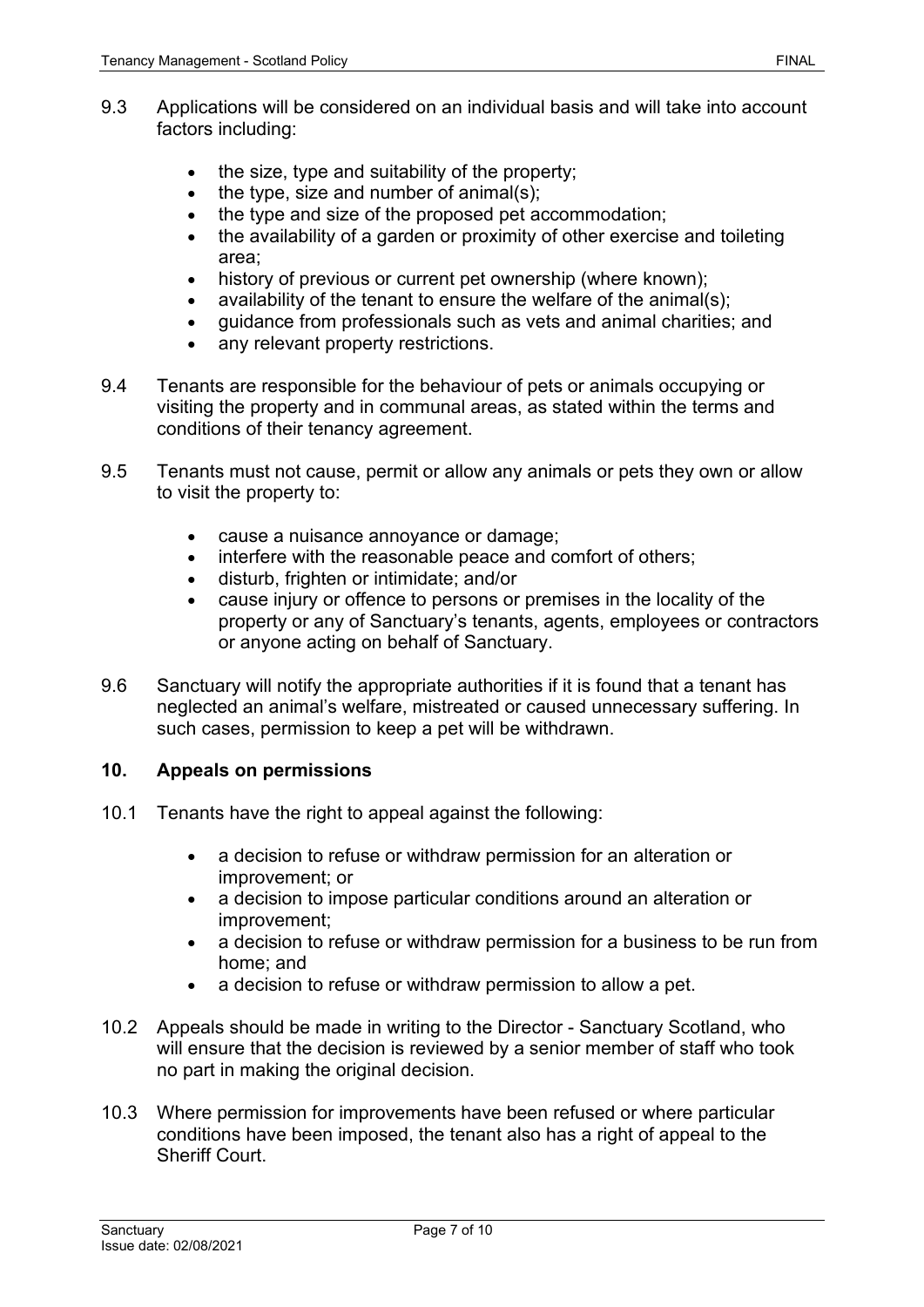- 9.3 Applications will be considered on an individual basis and will take into account factors including:
	- the size, type and suitability of the property;
	- the type, size and number of animal(s);
	- the type and size of the proposed pet accommodation;
	- the availability of a garden or proximity of other exercise and toileting area;
	- history of previous or current pet ownership (where known);
	- availability of the tenant to ensure the welfare of the animal(s);
	- guidance from professionals such as vets and animal charities; and
	- any relevant property restrictions.
- 9.4 Tenants are responsible for the behaviour of pets or animals occupying or visiting the property and in communal areas, as stated within the terms and conditions of their tenancy agreement.
- 9.5 Tenants must not cause, permit or allow any animals or pets they own or allow to visit the property to:
	- cause a nuisance annoyance or damage;
	- interfere with the reasonable peace and comfort of others;
	- disturb, frighten or intimidate; and/or
	- cause injury or offence to persons or premises in the locality of the property or any of Sanctuary's tenants, agents, employees or contractors or anyone acting on behalf of Sanctuary.
- 9.6 Sanctuary will notify the appropriate authorities if it is found that a tenant has neglected an animal's welfare, mistreated or caused unnecessary suffering. In such cases, permission to keep a pet will be withdrawn.

#### **10. Appeals on permissions**

- 10.1 Tenants have the right to appeal against the following:
	- a decision to refuse or withdraw permission for an alteration or improvement; or
	- a decision to impose particular conditions around an alteration or improvement;
	- a decision to refuse or withdraw permission for a business to be run from home; and
	- a decision to refuse or withdraw permission to allow a pet.
- 10.2 Appeals should be made in writing to the Director Sanctuary Scotland, who will ensure that the decision is reviewed by a senior member of staff who took no part in making the original decision.
- 10.3 Where permission for improvements have been refused or where particular conditions have been imposed, the tenant also has a right of appeal to the Sheriff Court.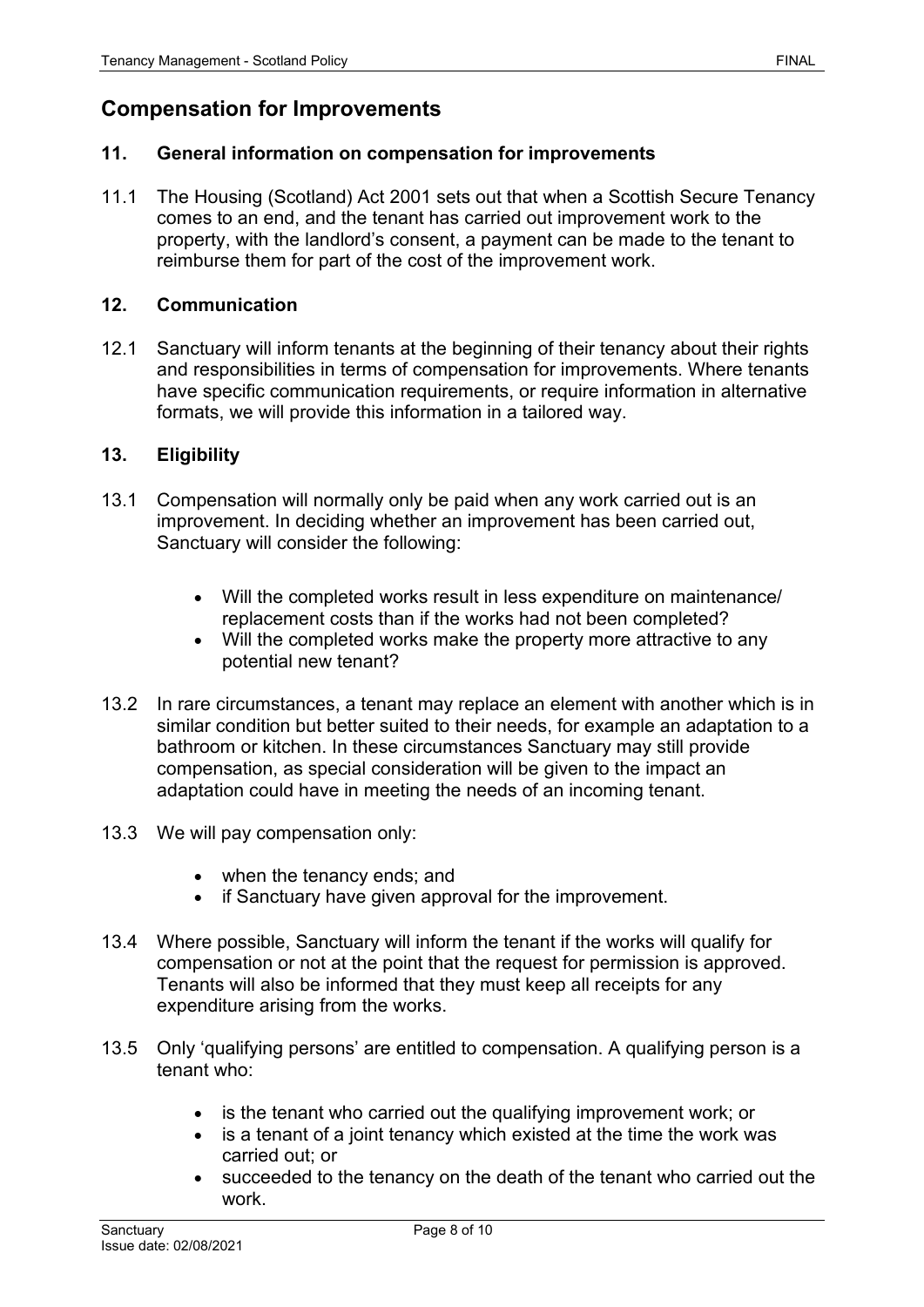# **Compensation for Improvements**

#### **11. General information on compensation for improvements**

11.1 The Housing (Scotland) Act 2001 sets out that when a Scottish Secure Tenancy comes to an end, and the tenant has carried out improvement work to the property, with the landlord's consent, a payment can be made to the tenant to reimburse them for part of the cost of the improvement work.

#### **12. Communication**

12.1 Sanctuary will inform tenants at the beginning of their tenancy about their rights and responsibilities in terms of compensation for improvements. Where tenants have specific communication requirements, or require information in alternative formats, we will provide this information in a tailored way.

#### **13. Eligibility**

- 13.1 Compensation will normally only be paid when any work carried out is an improvement. In deciding whether an improvement has been carried out, Sanctuary will consider the following:
	- Will the completed works result in less expenditure on maintenance/ replacement costs than if the works had not been completed?
	- Will the completed works make the property more attractive to any potential new tenant?
- 13.2 In rare circumstances, a tenant may replace an element with another which is in similar condition but better suited to their needs, for example an adaptation to a bathroom or kitchen. In these circumstances Sanctuary may still provide compensation, as special consideration will be given to the impact an adaptation could have in meeting the needs of an incoming tenant.
- 13.3 We will pay compensation only:
	- when the tenancy ends; and
	- if Sanctuary have given approval for the improvement.
- 13.4 Where possible, Sanctuary will inform the tenant if the works will qualify for compensation or not at the point that the request for permission is approved. Tenants will also be informed that they must keep all receipts for any expenditure arising from the works.
- 13.5 Only 'qualifying persons' are entitled to compensation. A qualifying person is a tenant who:
	- is the tenant who carried out the qualifying improvement work; or
	- is a tenant of a joint tenancy which existed at the time the work was carried out; or
	- succeeded to the tenancy on the death of the tenant who carried out the work.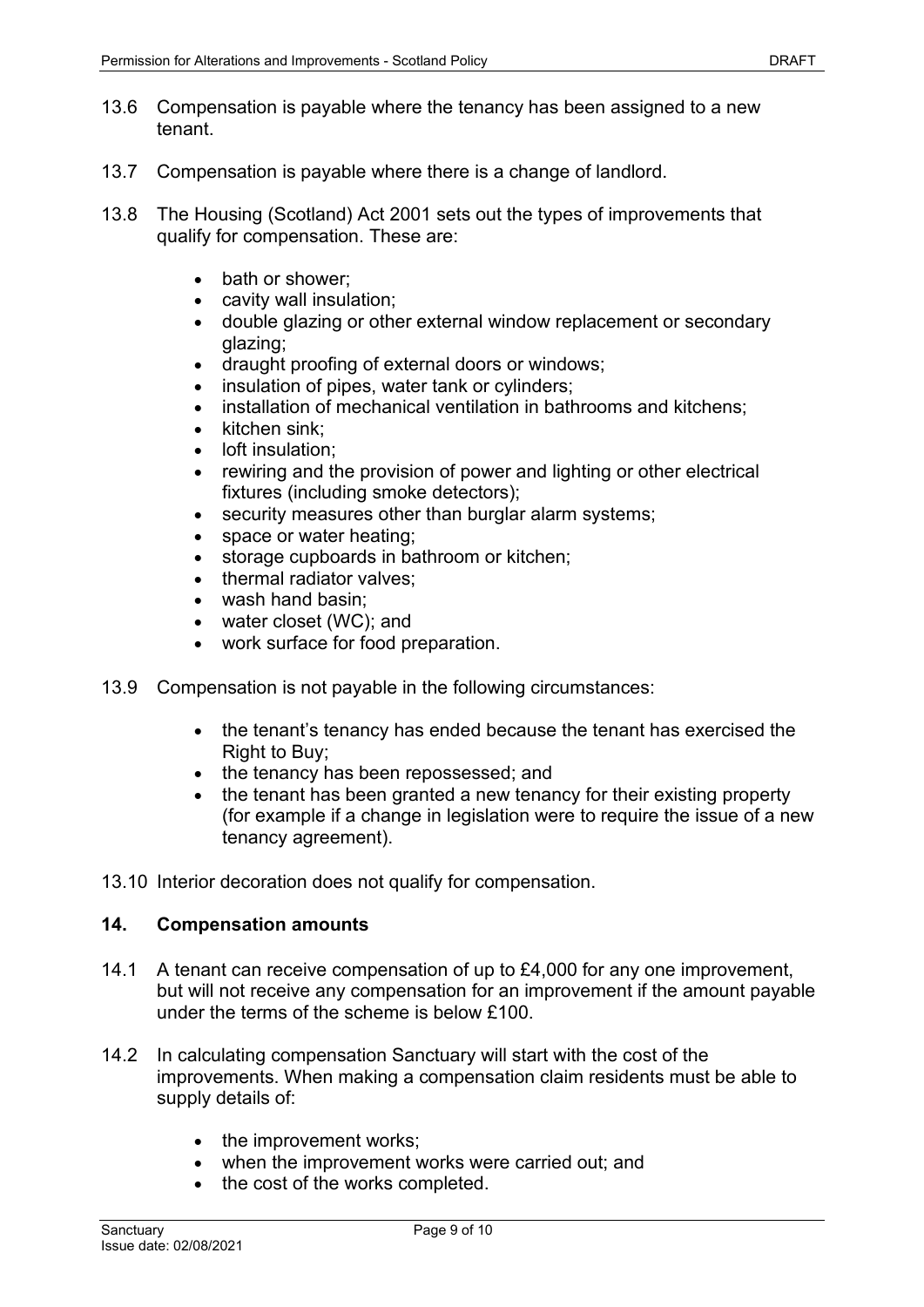- 13.6 Compensation is payable where the tenancy has been assigned to a new tenant.
- 13.7 Compensation is payable where there is a change of landlord.
- 13.8 The Housing (Scotland) Act 2001 sets out the types of improvements that qualify for compensation. These are:
	- bath or shower:
	- cavity wall insulation;
	- double glazing or other external window replacement or secondary glazing;
	- draught proofing of external doors or windows;
	- insulation of pipes, water tank or cylinders;
	- installation of mechanical ventilation in bathrooms and kitchens:
	- kitchen sink;
	- loft insulation:
	- rewiring and the provision of power and lighting or other electrical fixtures (including smoke detectors);
	- security measures other than burglar alarm systems:
	- space or water heating:
	- storage cupboards in bathroom or kitchen;
	- thermal radiator valves;
	- wash hand basin;
	- water closet (WC); and
	- work surface for food preparation.
- 13.9 Compensation is not payable in the following circumstances:
	- the tenant's tenancy has ended because the tenant has exercised the Right to Buy:
	- the tenancy has been repossessed; and
	- the tenant has been granted a new tenancy for their existing property (for example if a change in legislation were to require the issue of a new tenancy agreement).
- 13.10 Interior decoration does not qualify for compensation.

#### **14. Compensation amounts**

- 14.1 A tenant can receive compensation of up to £4,000 for any one improvement, but will not receive any compensation for an improvement if the amount payable under the terms of the scheme is below £100.
- 14.2 In calculating compensation Sanctuary will start with the cost of the improvements. When making a compensation claim residents must be able to supply details of:
	- the improvement works:
	- when the improvement works were carried out; and
	- the cost of the works completed.